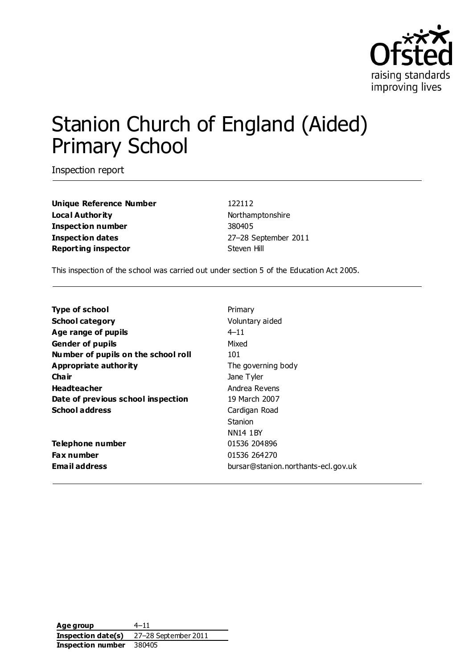

# Stanion Church of England (Aided) Primary School

Inspection report

**Unique Reference Number** 122112 **Local Authority Northamptonshire Inspection number** 380405 **Inspection dates** 27–28 September 2011 **Reporting inspector** Steven Hill

This inspection of the school was carried out under section 5 of the Education Act 2005.

| <b>Type of school</b>               | Primary                             |
|-------------------------------------|-------------------------------------|
| <b>School category</b>              | Voluntary aided                     |
| Age range of pupils                 | $4 - 11$                            |
| <b>Gender of pupils</b>             | Mixed                               |
| Number of pupils on the school roll | 101                                 |
| Appropriate authority               | The governing body                  |
| Cha ir                              | Jane Tyler                          |
| <b>Headteacher</b>                  | Andrea Revens                       |
| Date of previous school inspection  | 19 March 2007                       |
| <b>School address</b>               | Cardigan Road                       |
|                                     | Stanion                             |
|                                     | <b>NN14 1BY</b>                     |
| Telephone number                    | 01536 204896                        |
| <b>Fax number</b>                   | 01536 264270                        |
| <b>Email address</b>                | bursar@stanion.northants-ecl.gov.uk |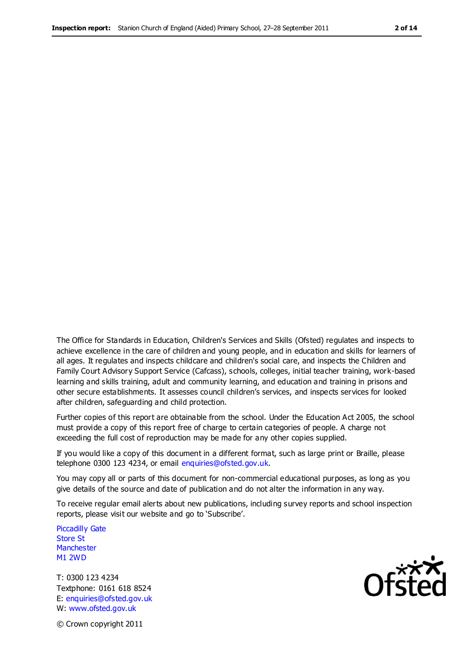The Office for Standards in Education, Children's Services and Skills (Ofsted) regulates and inspects to achieve excellence in the care of children and young people, and in education and skills for learners of all ages. It regulates and inspects childcare and children's social care, and inspects the Children and Family Court Advisory Support Service (Cafcass), schools, colleges, initial teacher training, work-based learning and skills training, adult and community learning, and education and training in prisons and other secure establishments. It assesses council children's services, and inspects services for looked after children, safeguarding and child protection.

Further copies of this report are obtainable from the school. Under the Education Act 2005, the school must provide a copy of this report free of charge to certain categories of people. A charge not exceeding the full cost of reproduction may be made for any other copies supplied.

If you would like a copy of this document in a different format, such as large print or Braille, please telephone 0300 123 4234, or email enquiries@ofsted.gov.uk.

You may copy all or parts of this document for non-commercial educational purposes, as long as you give details of the source and date of publication and do not alter the information in any way.

To receive regular email alerts about new publications, including survey reports and school inspection reports, please visit our website and go to 'Subscribe'.

Piccadilly Gate Store St **Manchester** M1 2WD

T: 0300 123 4234 Textphone: 0161 618 8524 E: enquiries@ofsted.gov.uk W: www.ofsted.gov.uk

**Ofsted** 

© Crown copyright 2011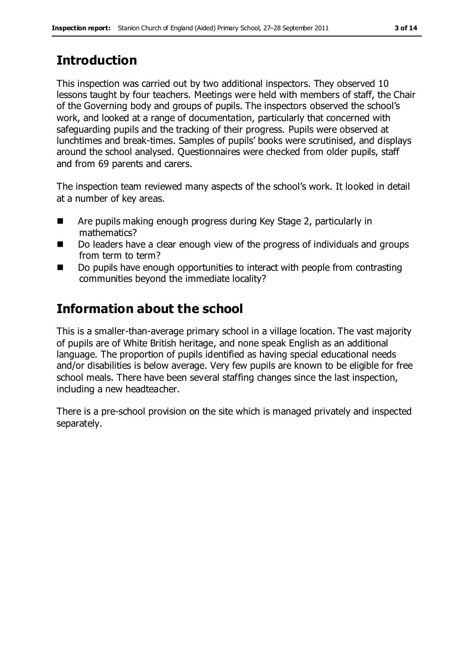# **Introduction**

This inspection was carried out by two additional inspectors. They observed 10 lessons taught by four teachers. Meetings were held with members of staff, the Chair of the Governing body and groups of pupils. The inspectors observed the school's work, and looked at a range of documentation, particularly that concerned with safeguarding pupils and the tracking of their progress. Pupils were observed at lunchtimes and break-times. Samples of pupils' books were scrutinised, and displays around the school analysed. Questionnaires were checked from older pupils, staff and from 69 parents and carers.

The inspection team reviewed many aspects of the school's work. It looked in detail at a number of key areas.

- Are pupils making enough progress during Key Stage 2, particularly in mathematics?
- Do leaders have a clear enough view of the progress of individuals and groups from term to term?
- Do pupils have enough opportunities to interact with people from contrasting communities beyond the immediate locality?

## **Information about the school**

This is a smaller-than-average primary school in a village location. The vast majority of pupils are of White British heritage, and none speak English as an additional language. The proportion of pupils identified as having special educational needs and/or disabilities is below average. Very few pupils are known to be eligible for free school meals. There have been several staffing changes since the last inspection, including a new headteacher.

There is a pre-school provision on the site which is managed privately and inspected separately.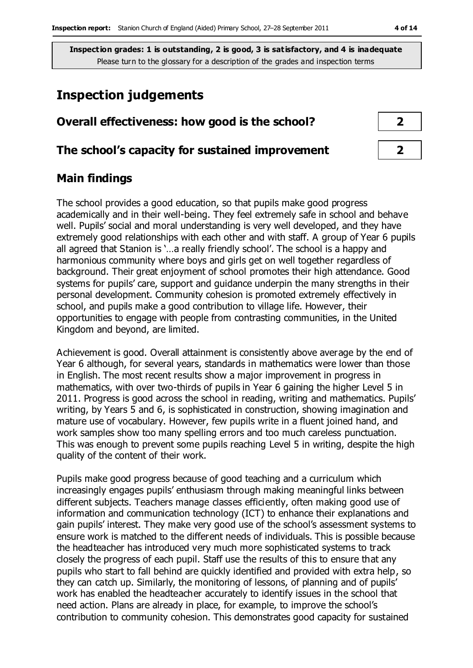## **Inspection judgements**

# **Overall effectiveness: how good is the school? 2**

### **The school's capacity for sustained improvement 2**

## **Main findings**

The school provides a good education, so that pupils make good progress academically and in their well-being. They feel extremely safe in school and behave well. Pupils' social and moral understanding is very well developed, and they have extremely good relationships with each other and with staff. A group of Year 6 pupils all agreed that Stanion is '…a really friendly school'. The school is a happy and harmonious community where boys and girls get on well together regardless of background. Their great enjoyment of school promotes their high attendance. Good systems for pupils' care, support and guidance underpin the many strengths in their personal development. Community cohesion is promoted extremely effectively in school, and pupils make a good contribution to village life. However, their opportunities to engage with people from contrasting communities, in the United Kingdom and beyond, are limited.

Achievement is good. Overall attainment is consistently above average by the end of Year 6 although, for several years, standards in mathematics were lower than those in English. The most recent results show a major improvement in progress in mathematics, with over two-thirds of pupils in Year 6 gaining the higher Level 5 in 2011. Progress is good across the school in reading, writing and mathematics. Pupils' writing, by Years 5 and 6, is sophisticated in construction, showing imagination and mature use of vocabulary. However, few pupils write in a fluent joined hand, and work samples show too many spelling errors and too much careless punctuation. This was enough to prevent some pupils reaching Level 5 in writing, despite the high quality of the content of their work.

Pupils make good progress because of good teaching and a curriculum which increasingly engages pupils' enthusiasm through making meaningful links between different subjects. Teachers manage classes efficiently, often making good use of information and communication technology (ICT) to enhance their explanations and gain pupils' interest. They make very good use of the school's assessment systems to ensure work is matched to the different needs of individuals. This is possible because the headteacher has introduced very much more sophisticated systems to track closely the progress of each pupil. Staff use the results of this to ensure that any pupils who start to fall behind are quickly identified and provided with extra help, so they can catch up. Similarly, the monitoring of lessons, of planning and of pupils' work has enabled the headteacher accurately to identify issues in the school that need action. Plans are already in place, for example, to improve the school's contribution to community cohesion. This demonstrates good capacity for sustained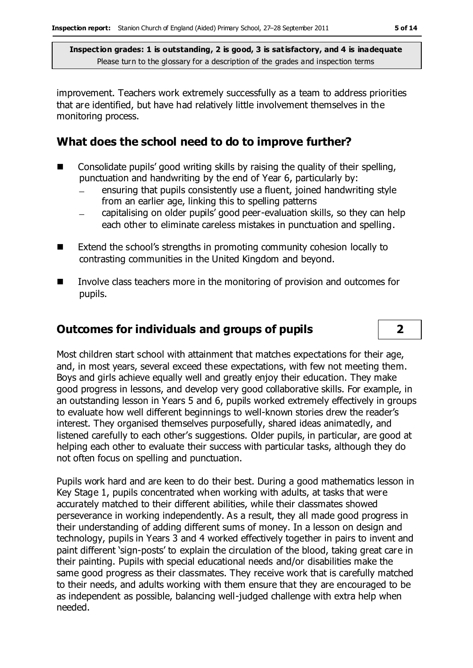improvement. Teachers work extremely successfully as a team to address priorities that are identified, but have had relatively little involvement themselves in the monitoring process.

## **What does the school need to do to improve further?**

- $\Box$  Consolidate pupils' good writing skills by raising the quality of their spelling, punctuation and handwriting by the end of Year 6, particularly by:
	- ensuring that pupils consistently use a fluent, joined handwriting style from an earlier age, linking this to spelling patterns
	- capitalising on older pupils' good peer-evaluation skills, so they can help each other to eliminate careless mistakes in punctuation and spelling.
- Extend the school's strengths in promoting community cohesion locally to contrasting communities in the United Kingdom and beyond.
- Involve class teachers more in the monitoring of provision and outcomes for pupils.

## **Outcomes for individuals and groups of pupils 2**

Most children start school with attainment that matches expectations for their age, and, in most years, several exceed these expectations, with few not meeting them. Boys and girls achieve equally well and greatly enjoy their education. They make good progress in lessons, and develop very good collaborative skills. For example, in an outstanding lesson in Years 5 and 6, pupils worked extremely effectively in groups to evaluate how well different beginnings to well-known stories drew the reader's interest. They organised themselves purposefully, shared ideas animatedly, and listened carefully to each other's suggestions. Older pupils, in particular, are good at helping each other to evaluate their success with particular tasks, although they do not often focus on spelling and punctuation.

Pupils work hard and are keen to do their best. During a good mathematics lesson in Key Stage 1, pupils concentrated when working with adults, at tasks that were accurately matched to their different abilities, while their classmates showed perseverance in working independently. As a result, they all made good progress in their understanding of adding different sums of money. In a lesson on design and technology, pupils in Years 3 and 4 worked effectively together in pairs to invent and paint different 'sign-posts' to explain the circulation of the blood, taking great care in their painting. Pupils with special educational needs and/or disabilities make the same good progress as their classmates. They receive work that is carefully matched to their needs, and adults working with them ensure that they are encouraged to be as independent as possible, balancing well-judged challenge with extra help when needed.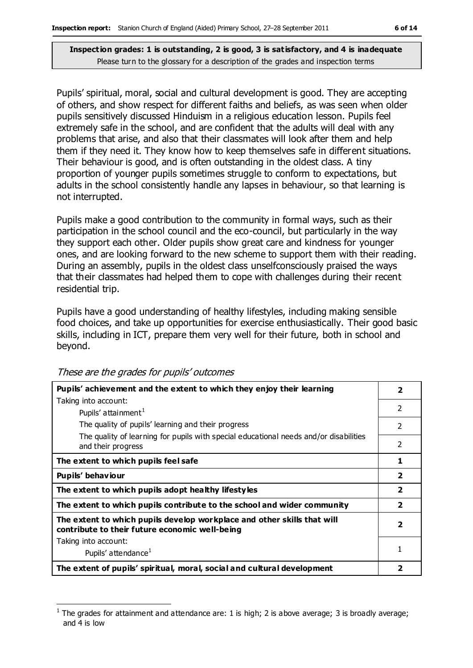Pupils' spiritual, moral, social and cultural development is good. They are accepting of others, and show respect for different faiths and beliefs, as was seen when older pupils sensitively discussed Hinduism in a religious education lesson. Pupils feel extremely safe in the school, and are confident that the adults will deal with any problems that arise, and also that their classmates will look after them and help them if they need it. They know how to keep themselves safe in different situations. Their behaviour is good, and is often outstanding in the oldest class. A tiny proportion of younger pupils sometimes struggle to conform to expectations, but adults in the school consistently handle any lapses in behaviour, so that learning is not interrupted.

Pupils make a good contribution to the community in formal ways, such as their participation in the school council and the eco-council, but particularly in the way they support each other. Older pupils show great care and kindness for younger ones, and are looking forward to the new scheme to support them with their reading. During an assembly, pupils in the oldest class unselfconsciously praised the ways that their classmates had helped them to cope with challenges during their recent residential trip.

Pupils have a good understanding of healthy lifestyles, including making sensible food choices, and take up opportunities for exercise enthusiastically. Their good basic skills, including in ICT, prepare them very well for their future, both in school and beyond.

| Pupils' achievement and the extent to which they enjoy their learning                                                     | $\overline{\mathbf{2}}$ |
|---------------------------------------------------------------------------------------------------------------------------|-------------------------|
| Taking into account:                                                                                                      |                         |
| Pupils' attainment <sup>1</sup>                                                                                           | $\mathcal{P}$           |
| The quality of pupils' learning and their progress                                                                        | $\overline{2}$          |
| The quality of learning for pupils with special educational needs and/or disabilities                                     |                         |
| and their progress                                                                                                        | $\mathcal{P}$           |
| The extent to which pupils feel safe                                                                                      | 1                       |
| Pupils' behaviour                                                                                                         | $\overline{\mathbf{2}}$ |
| The extent to which pupils adopt healthy lifestyles                                                                       | $\overline{\mathbf{2}}$ |
| The extent to which pupils contribute to the school and wider community                                                   | $\overline{\mathbf{2}}$ |
| The extent to which pupils develop workplace and other skills that will<br>contribute to their future economic well-being | $\overline{\mathbf{2}}$ |
| Taking into account:                                                                                                      |                         |
| Pupils' attendance <sup>1</sup>                                                                                           |                         |
| The extent of pupils' spiritual, moral, social and cultural development                                                   |                         |

These are the grades for pupils' outcomes

 $\overline{a}$ 1 The grades for attainment and attendance are: 1 is high; 2 is above average; 3 is broadly average; and 4 is low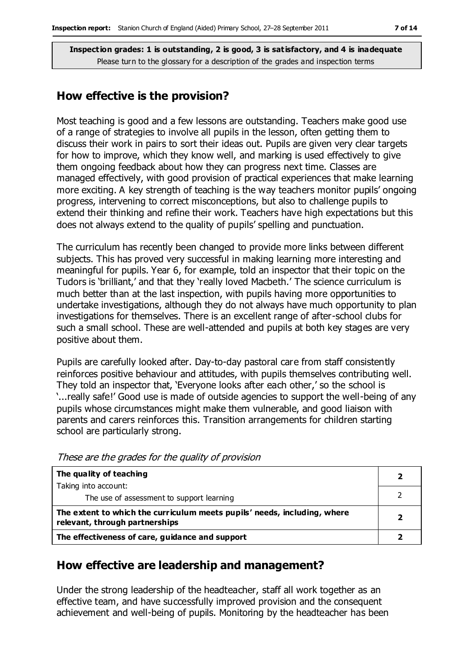## **How effective is the provision?**

Most teaching is good and a few lessons are outstanding. Teachers make good use of a range of strategies to involve all pupils in the lesson, often getting them to discuss their work in pairs to sort their ideas out. Pupils are given very clear targets for how to improve, which they know well, and marking is used effectively to give them ongoing feedback about how they can progress next time. Classes are managed effectively, with good provision of practical experiences that make learning more exciting. A key strength of teaching is the way teachers monitor pupils' ongoing progress, intervening to correct misconceptions, but also to challenge pupils to extend their thinking and refine their work. Teachers have high expectations but this does not always extend to the quality of pupils' spelling and punctuation.

The curriculum has recently been changed to provide more links between different subjects. This has proved very successful in making learning more interesting and meaningful for pupils. Year 6, for example, told an inspector that their topic on the Tudors is 'brilliant,' and that they 'really loved Macbeth.' The science curriculum is much better than at the last inspection, with pupils having more opportunities to undertake investigations, although they do not always have much opportunity to plan investigations for themselves. There is an excellent range of after-school clubs for such a small school. These are well-attended and pupils at both key stages are very positive about them.

Pupils are carefully looked after. Day-to-day pastoral care from staff consistently reinforces positive behaviour and attitudes, with pupils themselves contributing well. They told an inspector that, 'Everyone looks after each other,' so the school is '...really safe!' Good use is made of outside agencies to support the well-being of any pupils whose circumstances might make them vulnerable, and good liaison with parents and carers reinforces this. Transition arrangements for children starting school are particularly strong.

| The quality of teaching                                                                                    |  |
|------------------------------------------------------------------------------------------------------------|--|
| Taking into account:                                                                                       |  |
| The use of assessment to support learning                                                                  |  |
| The extent to which the curriculum meets pupils' needs, including, where<br>relevant, through partnerships |  |
| The effectiveness of care, guidance and support                                                            |  |

These are the grades for the quality of provision

### **How effective are leadership and management?**

Under the strong leadership of the headteacher, staff all work together as an effective team, and have successfully improved provision and the consequent achievement and well-being of pupils. Monitoring by the headteacher has been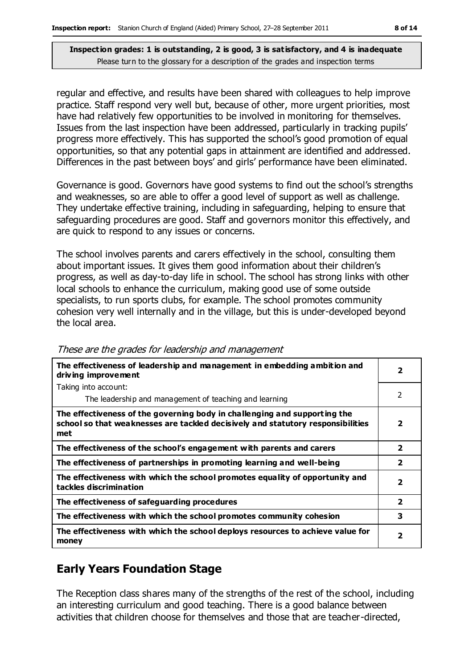regular and effective, and results have been shared with colleagues to help improve practice. Staff respond very well but, because of other, more urgent priorities, most have had relatively few opportunities to be involved in monitoring for themselves. Issues from the last inspection have been addressed, particularly in tracking pupils' progress more effectively. This has supported the school's good promotion of equal opportunities, so that any potential gaps in attainment are identified and addressed. Differences in the past between boys' and girls' performance have been eliminated.

Governance is good. Governors have good systems to find out the school's strengths and weaknesses, so are able to offer a good level of support as well as challenge. They undertake effective training, including in safeguarding, helping to ensure that safeguarding procedures are good. Staff and governors monitor this effectively, and are quick to respond to any issues or concerns.

The school involves parents and carers effectively in the school, consulting them about important issues. It gives them good information about their children's progress, as well as day-to-day life in school. The school has strong links with other local schools to enhance the curriculum, making good use of some outside specialists, to run sports clubs, for example. The school promotes community cohesion very well internally and in the village, but this is under-developed beyond the local area.

| The effectiveness of leadership and management in embedding ambition and<br>driving improvement                                                                     |                         |  |
|---------------------------------------------------------------------------------------------------------------------------------------------------------------------|-------------------------|--|
| Taking into account:                                                                                                                                                |                         |  |
| The leadership and management of teaching and learning                                                                                                              | 2                       |  |
| The effectiveness of the governing body in challenging and supporting the<br>school so that weaknesses are tackled decisively and statutory responsibilities<br>met | $\overline{\mathbf{2}}$ |  |
| The effectiveness of the school's engagement with parents and carers                                                                                                | 2                       |  |
| The effectiveness of partnerships in promoting learning and well-being                                                                                              | 2                       |  |
| The effectiveness with which the school promotes equality of opportunity and<br>tackles discrimination                                                              | $\overline{\mathbf{2}}$ |  |
| The effectiveness of safeguarding procedures                                                                                                                        | $\overline{\mathbf{2}}$ |  |
| The effectiveness with which the school promotes community cohesion                                                                                                 | 3                       |  |
| The effectiveness with which the school deploys resources to achieve value for<br>money                                                                             | 2                       |  |

These are the grades for leadership and management

## **Early Years Foundation Stage**

The Reception class shares many of the strengths of the rest of the school, including an interesting curriculum and good teaching. There is a good balance between activities that children choose for themselves and those that are teacher-directed,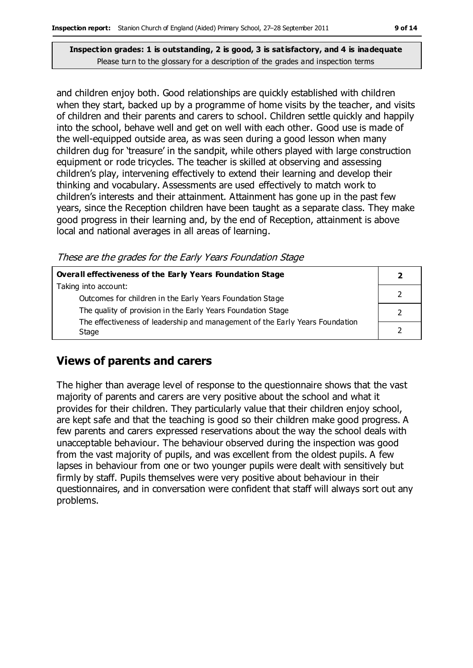and children enjoy both. Good relationships are quickly established with children when they start, backed up by a programme of home visits by the teacher, and visits of children and their parents and carers to school. Children settle quickly and happily into the school, behave well and get on well with each other. Good use is made of the well-equipped outside area, as was seen during a good lesson when many children dug for 'treasure' in the sandpit, while others played with large construction equipment or rode tricycles. The teacher is skilled at observing and assessing children's play, intervening effectively to extend their learning and develop their thinking and vocabulary. Assessments are used effectively to match work to children's interests and their attainment. Attainment has gone up in the past few years, since the Reception children have been taught as a separate class. They make good progress in their learning and, by the end of Reception, attainment is above local and national averages in all areas of learning.

These are the grades for the Early Years Foundation Stage

| Overall effectiveness of the Early Years Foundation Stage                             |  |  |
|---------------------------------------------------------------------------------------|--|--|
| Taking into account:                                                                  |  |  |
| Outcomes for children in the Early Years Foundation Stage                             |  |  |
| The quality of provision in the Early Years Foundation Stage                          |  |  |
| The effectiveness of leadership and management of the Early Years Foundation<br>Stage |  |  |
|                                                                                       |  |  |

## **Views of parents and carers**

The higher than average level of response to the questionnaire shows that the vast majority of parents and carers are very positive about the school and what it provides for their children. They particularly value that their children enjoy school, are kept safe and that the teaching is good so their children make good progress. A few parents and carers expressed reservations about the way the school deals with unacceptable behaviour. The behaviour observed during the inspection was good from the vast majority of pupils, and was excellent from the oldest pupils. A few lapses in behaviour from one or two younger pupils were dealt with sensitively but firmly by staff. Pupils themselves were very positive about behaviour in their questionnaires, and in conversation were confident that staff will always sort out any problems.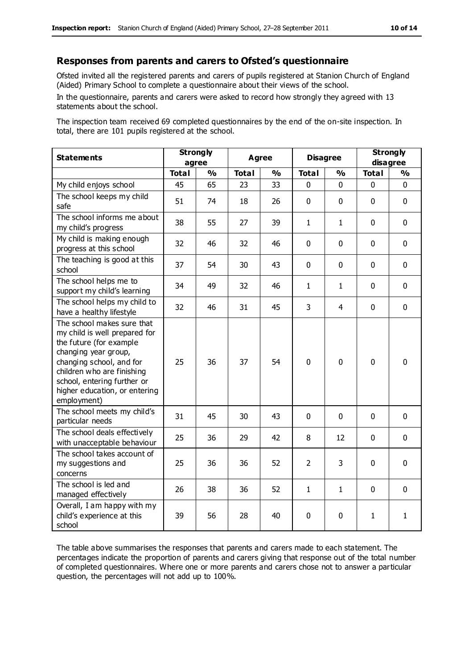#### **Responses from parents and carers to Ofsted's questionnaire**

Ofsted invited all the registered parents and carers of pupils registered at Stanion Church of England (Aided) Primary School to complete a questionnaire about their views of the school.

In the questionnaire, parents and carers were asked to record how strongly they agreed with 13 statements about the school.

The inspection team received 69 completed questionnaires by the end of the on-site inspection. In total, there are 101 pupils registered at the school.

| <b>Statements</b>                                                                                                                                                                                                                                       | <b>Strongly</b><br>agree |               | <b>Agree</b> |               | <b>Disagree</b> |               | <b>Strongly</b><br>disagree |               |
|---------------------------------------------------------------------------------------------------------------------------------------------------------------------------------------------------------------------------------------------------------|--------------------------|---------------|--------------|---------------|-----------------|---------------|-----------------------------|---------------|
|                                                                                                                                                                                                                                                         | <b>Total</b>             | $\frac{0}{0}$ | <b>Total</b> | $\frac{1}{2}$ | <b>Total</b>    | $\frac{0}{0}$ | <b>Total</b>                | $\frac{1}{2}$ |
| My child enjoys school                                                                                                                                                                                                                                  | 45                       | 65            | 23           | 33            | 0               | 0             | 0                           | $\Omega$      |
| The school keeps my child<br>safe                                                                                                                                                                                                                       | 51                       | 74            | 18           | 26            | $\mathbf 0$     | $\mathbf 0$   | $\mathbf{0}$                | $\mathbf 0$   |
| The school informs me about<br>my child's progress                                                                                                                                                                                                      | 38                       | 55            | 27           | 39            | $\mathbf{1}$    | $\mathbf{1}$  | $\mathbf 0$                 | $\mathbf 0$   |
| My child is making enough<br>progress at this school                                                                                                                                                                                                    | 32                       | 46            | 32           | 46            | 0               | 0             | $\mathbf 0$                 | $\mathbf 0$   |
| The teaching is good at this<br>school                                                                                                                                                                                                                  | 37                       | 54            | 30           | 43            | 0               | $\mathbf 0$   | $\mathbf 0$                 | $\mathbf 0$   |
| The school helps me to<br>support my child's learning                                                                                                                                                                                                   | 34                       | 49            | 32           | 46            | $\mathbf{1}$    | 1             | $\mathbf 0$                 | $\mathbf 0$   |
| The school helps my child to<br>have a healthy lifestyle                                                                                                                                                                                                | 32                       | 46            | 31           | 45            | 3               | 4             | $\mathbf 0$                 | $\mathbf 0$   |
| The school makes sure that<br>my child is well prepared for<br>the future (for example<br>changing year group,<br>changing school, and for<br>children who are finishing<br>school, entering further or<br>higher education, or entering<br>employment) | 25                       | 36            | 37           | 54            | 0               | $\mathbf 0$   | $\mathbf 0$                 | $\mathbf 0$   |
| The school meets my child's<br>particular needs                                                                                                                                                                                                         | 31                       | 45            | 30           | 43            | $\mathbf 0$     | $\mathbf 0$   | $\mathbf 0$                 | $\mathbf 0$   |
| The school deals effectively<br>with unacceptable behaviour                                                                                                                                                                                             | 25                       | 36            | 29           | 42            | 8               | 12            | $\mathbf 0$                 | $\mathbf 0$   |
| The school takes account of<br>my suggestions and<br>concerns                                                                                                                                                                                           | 25                       | 36            | 36           | 52            | $\overline{2}$  | 3             | $\mathbf 0$                 | $\mathbf 0$   |
| The school is led and<br>managed effectively                                                                                                                                                                                                            | 26                       | 38            | 36           | 52            | $\mathbf{1}$    | 1             | $\mathbf 0$                 | $\mathbf 0$   |
| Overall, I am happy with my<br>child's experience at this<br>school                                                                                                                                                                                     | 39                       | 56            | 28           | 40            | 0               | $\mathbf 0$   | $\mathbf{1}$                | $\mathbf{1}$  |

The table above summarises the responses that parents and carers made to each statement. The percentages indicate the proportion of parents and carers giving that response out of the total number of completed questionnaires. Where one or more parents and carers chose not to answer a particular question, the percentages will not add up to 100%.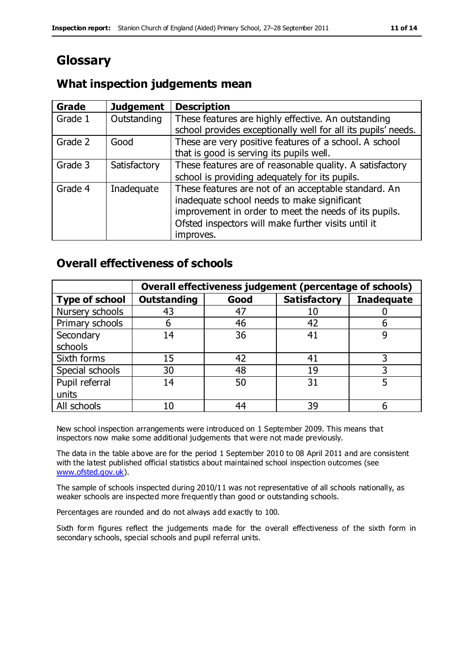# **Glossary**

## **What inspection judgements mean**

| Grade   | <b>Judgement</b> | <b>Description</b>                                            |
|---------|------------------|---------------------------------------------------------------|
| Grade 1 | Outstanding      | These features are highly effective. An outstanding           |
|         |                  | school provides exceptionally well for all its pupils' needs. |
| Grade 2 | Good             | These are very positive features of a school. A school        |
|         |                  | that is good is serving its pupils well.                      |
| Grade 3 | Satisfactory     | These features are of reasonable quality. A satisfactory      |
|         |                  | school is providing adequately for its pupils.                |
| Grade 4 | Inadequate       | These features are not of an acceptable standard. An          |
|         |                  | inadequate school needs to make significant                   |
|         |                  | improvement in order to meet the needs of its pupils.         |
|         |                  | Ofsted inspectors will make further visits until it           |
|         |                  | improves.                                                     |

## **Overall effectiveness of schools**

|                       | Overall effectiveness judgement (percentage of schools) |      |                     |                   |
|-----------------------|---------------------------------------------------------|------|---------------------|-------------------|
| <b>Type of school</b> | <b>Outstanding</b>                                      | Good | <b>Satisfactory</b> | <b>Inadequate</b> |
| Nursery schools       | 43                                                      | 47   | 10                  |                   |
| Primary schools       | h                                                       | 46   | 42                  |                   |
| Secondary             | 14                                                      | 36   | 41                  |                   |
| schools               |                                                         |      |                     |                   |
| Sixth forms           | 15                                                      | 42   | 41                  |                   |
| Special schools       | 30                                                      | 48   | 19                  |                   |
| Pupil referral        | 14                                                      | 50   | 31                  |                   |
| units                 |                                                         |      |                     |                   |
| All schools           | 10                                                      | 44   | 39                  |                   |

New school inspection arrangements were introduced on 1 September 2009. This means that inspectors now make some additional judgements that were not made previously.

The data in the table above are for the period 1 September 2010 to 08 April 2011 and are consistent with the latest published official statistics about maintained school inspection outcomes (see [www.ofsted.gov.uk\)](http://www.ofsted.gov.uk/).

The sample of schools inspected during 2010/11 was not representative of all schools nationally, as weaker schools are inspected more frequently than good or outstanding schools.

Percentages are rounded and do not always add exactly to 100.

Sixth form figures reflect the judgements made for the overall effectiveness of the sixth form in secondary schools, special schools and pupil referral units.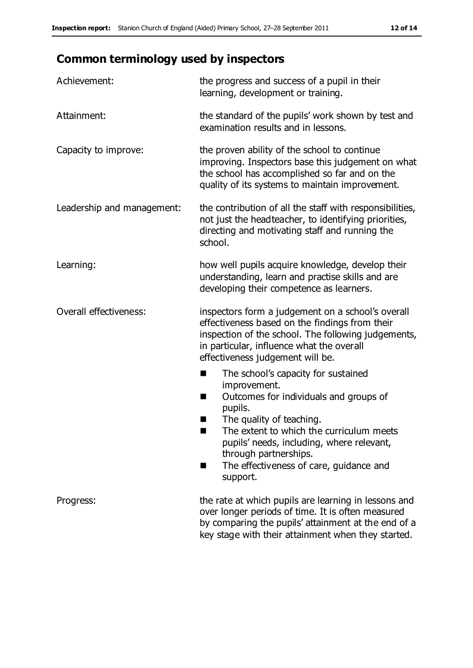# **Common terminology used by inspectors**

| Achievement:                  | the progress and success of a pupil in their<br>learning, development or training.                                                                                                                                                                                                                                           |  |  |
|-------------------------------|------------------------------------------------------------------------------------------------------------------------------------------------------------------------------------------------------------------------------------------------------------------------------------------------------------------------------|--|--|
| Attainment:                   | the standard of the pupils' work shown by test and<br>examination results and in lessons.                                                                                                                                                                                                                                    |  |  |
| Capacity to improve:          | the proven ability of the school to continue<br>improving. Inspectors base this judgement on what<br>the school has accomplished so far and on the<br>quality of its systems to maintain improvement.                                                                                                                        |  |  |
| Leadership and management:    | the contribution of all the staff with responsibilities,<br>not just the headteacher, to identifying priorities,<br>directing and motivating staff and running the<br>school.                                                                                                                                                |  |  |
| Learning:                     | how well pupils acquire knowledge, develop their<br>understanding, learn and practise skills and are<br>developing their competence as learners.                                                                                                                                                                             |  |  |
| <b>Overall effectiveness:</b> | inspectors form a judgement on a school's overall<br>effectiveness based on the findings from their<br>inspection of the school. The following judgements,<br>in particular, influence what the overall<br>effectiveness judgement will be.                                                                                  |  |  |
|                               | The school's capacity for sustained<br>×<br>improvement.<br>Outcomes for individuals and groups of<br>п<br>pupils.<br>The quality of teaching.<br>The extent to which the curriculum meets<br>pupils' needs, including, where relevant,<br>through partnerships.<br>The effectiveness of care, guidance and<br>■<br>support. |  |  |
| Progress:                     | the rate at which pupils are learning in lessons and<br>over longer periods of time. It is often measured<br>by comparing the pupils' attainment at the end of a<br>key stage with their attainment when they started.                                                                                                       |  |  |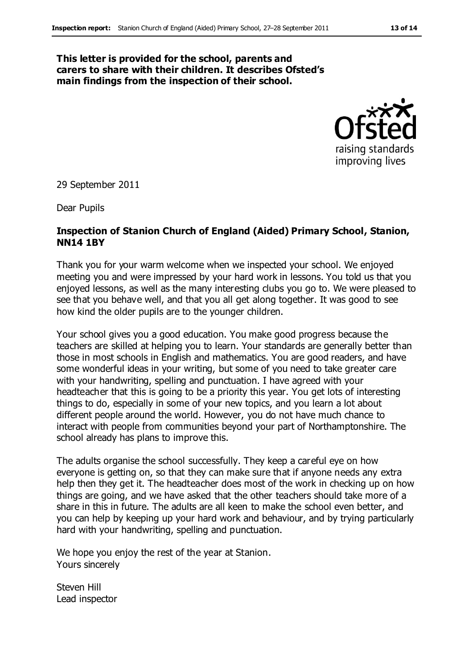#### **This letter is provided for the school, parents and carers to share with their children. It describes Ofsted's main findings from the inspection of their school.**



29 September 2011

Dear Pupils

#### **Inspection of Stanion Church of England (Aided) Primary School, Stanion, NN14 1BY**

Thank you for your warm welcome when we inspected your school. We enjoyed meeting you and were impressed by your hard work in lessons. You told us that you enjoyed lessons, as well as the many interesting clubs you go to. We were pleased to see that you behave well, and that you all get along together. It was good to see how kind the older pupils are to the younger children.

Your school gives you a good education. You make good progress because the teachers are skilled at helping you to learn. Your standards are generally better than those in most schools in English and mathematics. You are good readers, and have some wonderful ideas in your writing, but some of you need to take greater care with your handwriting, spelling and punctuation. I have agreed with your headteacher that this is going to be a priority this year. You get lots of interesting things to do, especially in some of your new topics, and you learn a lot about different people around the world. However, you do not have much chance to interact with people from communities beyond your part of Northamptonshire. The school already has plans to improve this.

The adults organise the school successfully. They keep a careful eye on how everyone is getting on, so that they can make sure that if anyone needs any extra help then they get it. The headteacher does most of the work in checking up on how things are going, and we have asked that the other teachers should take more of a share in this in future. The adults are all keen to make the school even better, and you can help by keeping up your hard work and behaviour, and by trying particularly hard with your handwriting, spelling and punctuation.

We hope you enjoy the rest of the year at Stanion. Yours sincerely

Steven Hill Lead inspector